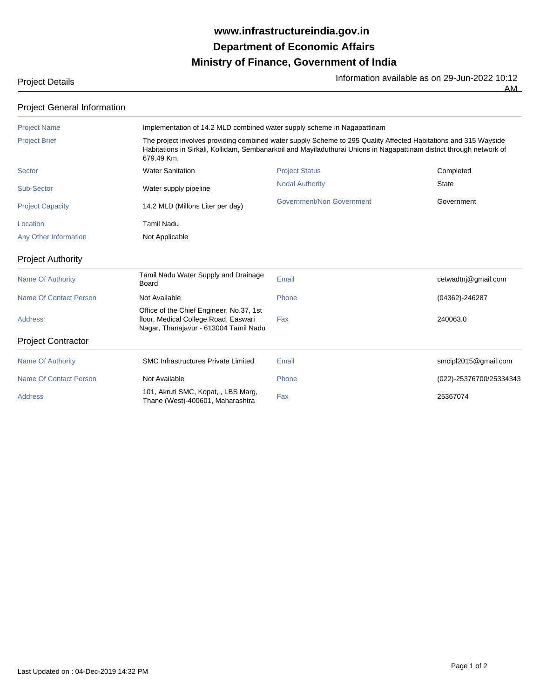## **Ministry of Finance, Government of India Department of Economic Affairs www.infrastructureindia.gov.in**

# Project Details<br> **Project Details**<br>
AM

| ∸<br>. . |
|----------|
|          |

### Project General Information

| <b>Project Name</b>           |                                                                                                                           | Implementation of 14.2 MLD combined water supply scheme in Nagapattinam                                                                                                                                                                 |                         |  |  |
|-------------------------------|---------------------------------------------------------------------------------------------------------------------------|-----------------------------------------------------------------------------------------------------------------------------------------------------------------------------------------------------------------------------------------|-------------------------|--|--|
| <b>Project Brief</b>          | 679.49 Km.                                                                                                                | The project involves providing combined water supply Scheme to 295 Quality Affected Habitations and 315 Wayside<br>Habitations in Sirkali, Kollidam, Sembanarkoil and Mayiladuthurai Unions in Nagapattinam district through network of |                         |  |  |
| <b>Sector</b>                 | <b>Water Sanitation</b>                                                                                                   | <b>Project Status</b>                                                                                                                                                                                                                   | Completed               |  |  |
| Sub-Sector                    | Water supply pipeline                                                                                                     | <b>Nodal Authority</b>                                                                                                                                                                                                                  | <b>State</b>            |  |  |
| <b>Project Capacity</b>       | 14.2 MLD (Millons Liter per day)                                                                                          | <b>Government/Non Government</b>                                                                                                                                                                                                        | Government              |  |  |
| Location                      | <b>Tamil Nadu</b>                                                                                                         |                                                                                                                                                                                                                                         |                         |  |  |
| Any Other Information         | Not Applicable                                                                                                            |                                                                                                                                                                                                                                         |                         |  |  |
| <b>Project Authority</b>      |                                                                                                                           |                                                                                                                                                                                                                                         |                         |  |  |
| <b>Name Of Authority</b>      | Tamil Nadu Water Supply and Drainage<br>Board                                                                             | Email                                                                                                                                                                                                                                   | cetwadtnj@gmail.com     |  |  |
| <b>Name Of Contact Person</b> | Not Available                                                                                                             | Phone                                                                                                                                                                                                                                   | (04362)-246287          |  |  |
| <b>Address</b>                | Office of the Chief Engineer, No.37, 1st<br>floor, Medical College Road, Easwari<br>Nagar, Thanajavur - 613004 Tamil Nadu | Fax                                                                                                                                                                                                                                     | 240063.0                |  |  |
| <b>Project Contractor</b>     |                                                                                                                           |                                                                                                                                                                                                                                         |                         |  |  |
| <b>Name Of Authority</b>      | <b>SMC Infrastructures Private Limited</b>                                                                                | Email                                                                                                                                                                                                                                   | smcipl2015@gmail.com    |  |  |
| <b>Name Of Contact Person</b> | Not Available                                                                                                             | Phone                                                                                                                                                                                                                                   | (022)-25376700/25334343 |  |  |
| <b>Address</b>                | 101, Akruti SMC, Kopat, , LBS Marg,<br>Thane (West)-400601, Maharashtra                                                   | Fax                                                                                                                                                                                                                                     | 25367074                |  |  |